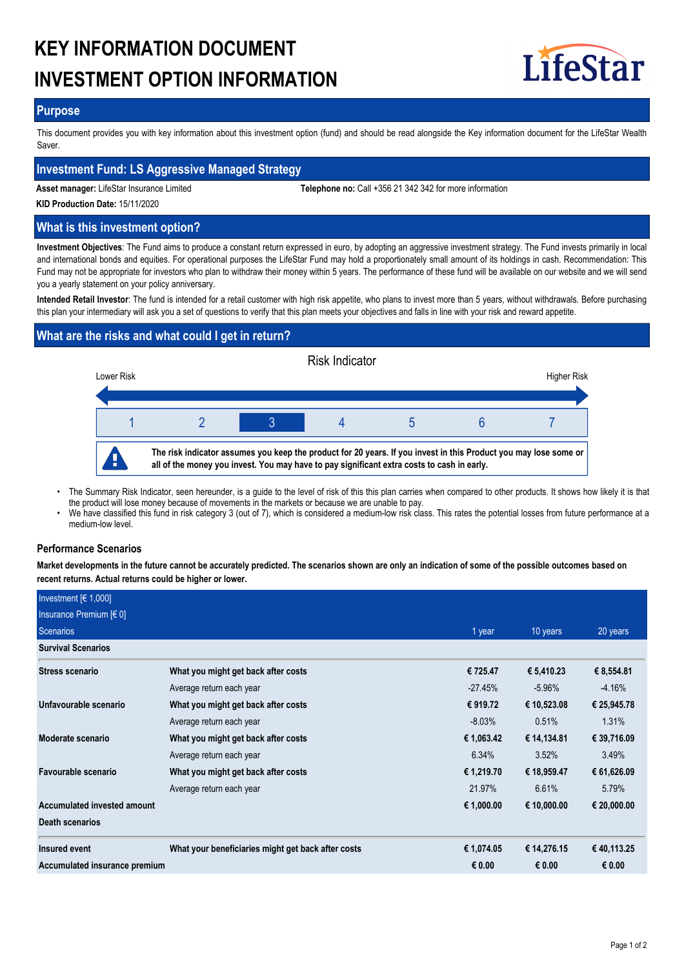# **KEY INFORMATION DOCUMENT INVESTMENT OPTION INFORMATION**



## **Purpose**

This document provides you with key information about this investment option (fund) and should be read alongside the Key information document for the LifeStar Wealth Saver.

## **Investment Fund: LS Aggressive Managed Strategy**

**Asset manager:** LifeStar Insurance Limited **Telephone no:** Call +356 21 342 342 for more information

**KID Production Date:** 15/11/2020

## **What is this investment option?**

**Investment Objectives**: The Fund aims to produce a constant return expressed in euro, by adopting an aggressive investment strategy. The Fund invests primarily in local and international bonds and equities. For operational purposes the LifeStar Fund may hold a proportionately small amount of its holdings in cash. Recommendation: This Fund may not be appropriate for investors who plan to withdraw their money within 5 years. The performance of these fund will be available on our website and we will send you a yearly statement on your policy anniversary.

**Intended Retail Investor**: The fund is intended for a retail customer with high risk appetite, who plans to invest more than 5 years, without withdrawals. Before purchasing this plan your intermediary will ask you a set of questions to verify that this plan meets your objectives and falls in line with your risk and reward appetite.

# **What are the risks and what could I get in return?**



- The Summary Risk Indicator, seen hereunder, is a guide to the level of risk of this this plan carries when compared to other products. It shows how likely it is that the product will lose money because of movements in the markets or because we are unable to pay. •
- We have classified this fund in risk category 3 (out of 7), which is considered a medium-low risk class. This rates the potential losses from future performance at a medium-low level. •

## **Performance Scenarios**

**Market developments in the future cannot be accurately predicted. The scenarios shown are only an indication of some of the possible outcomes based on recent returns. Actual returns could be higher or lower.**

| Investment $[6 1,000]$        |                                                    |            |             |             |
|-------------------------------|----------------------------------------------------|------------|-------------|-------------|
| Insurance Premium [€ 0]       | 1 year                                             | 10 years   | 20 years    |             |
| Scenarios                     |                                                    |            |             |             |
| <b>Survival Scenarios</b>     |                                                    |            |             |             |
| Stress scenario               | What you might get back after costs                | € 725.47   | € 5,410.23  | € 8,554.81  |
|                               | Average return each year                           | $-27.45%$  | $-5.96\%$   | $-4.16%$    |
| Unfavourable scenario         | What you might get back after costs                | € 919.72   | € 10,523.08 | € 25,945.78 |
|                               | Average return each year                           | $-8.03%$   | 0.51%       | 1.31%       |
| Moderate scenario             | What you might get back after costs                | € 1,063.42 | € 14,134.81 | € 39,716.09 |
|                               | Average return each year                           | 6.34%      | 3.52%       | 3.49%       |
| Favourable scenario           | What you might get back after costs                | € 1,219.70 | € 18,959.47 | € 61,626.09 |
|                               | Average return each year                           | 21.97%     | 6.61%       | 5.79%       |
| Accumulated invested amount   |                                                    | € 1,000.00 | € 10,000.00 | € 20,000.00 |
| Death scenarios               |                                                    |            |             |             |
| Insured event                 | What your beneficiaries might get back after costs | € 1,074.05 | € 14,276.15 | €40,113.25  |
| Accumulated insurance premium |                                                    | € 0.00     | € 0.00      | € 0.00      |